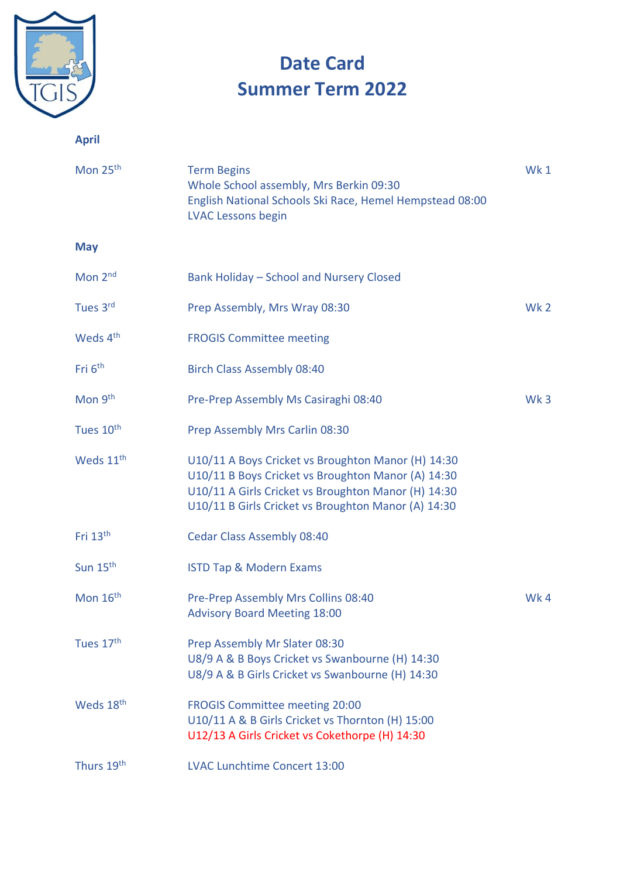

**April**

# **Date Card Summer Term 2022**

# Mon 25<sup>th</sup> Term Begins Wk 1 Whole School assembly, Mrs Berkin 09:30 English National Schools Ski Race, Hemel Hempstead 08:00 LVAC Lessons begin **May** Mon 2<sup>nd</sup> Bank Holiday – School and Nursery Closed Tues 3 Prep Assembly, Mrs Wray 08:30 Wk 2 Weds 4<sup>th</sup> FROGIS Committee meeting Fri 6<sup>th</sup> Birch Class Assembly 08:40 Mon 9<sup>th</sup> Pre-Prep Assembly Ms Casiraghi 08:40 Wk 3 Tues 10<sup>th</sup> Prep Assembly Mrs Carlin 08:30 Weds 11<sup>th</sup> U10/11 A Boys Cricket vs Broughton Manor (H) 14:30 U10/11 B Boys Cricket vs Broughton Manor (A) 14:30 U10/11 A Girls Cricket vs Broughton Manor (H) 14:30 U10/11 B Girls Cricket vs Broughton Manor (A) 14:30 Fri 13<sup>th</sup> Cedar Class Assembly 08:40 Sun 15<sup>th</sup> ISTD Tap & Modern Exams Mon  $16$ <sup>th</sup> Pre-Prep Assembly Mrs Collins 08:40 Advisory Board Meeting 18:00 Tues 17<sup>th</sup> Prep Assembly Mr Slater 08:30 U8/9 A & B Boys Cricket vs Swanbourne (H) 14:30 U8/9 A & B Girls Cricket vs Swanbourne (H) 14:30 Weds 18<sup>th</sup> FROGIS Committee meeting 20:00 U10/11 A & B Girls Cricket vs Thornton (H) 15:00 U12/13 A Girls Cricket vs Cokethorpe (H) 14:30

Thurs 19<sup>th</sup> LVAC Lunchtime Concert 13:00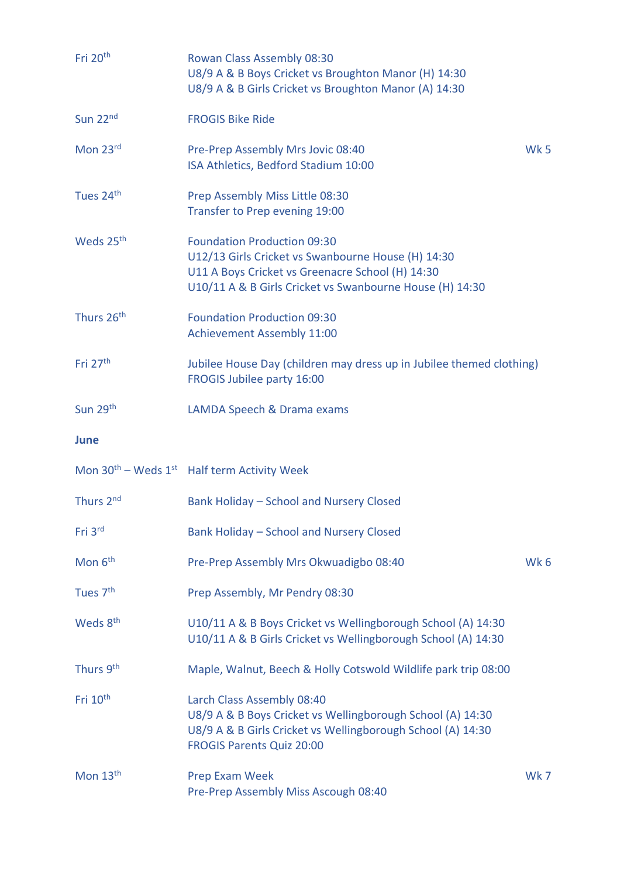| Fri 20 <sup>th</sup>  | Rowan Class Assembly 08:30<br>U8/9 A & B Boys Cricket vs Broughton Manor (H) 14:30<br>U8/9 A & B Girls Cricket vs Broughton Manor (A) 14:30                                                              |                 |
|-----------------------|----------------------------------------------------------------------------------------------------------------------------------------------------------------------------------------------------------|-----------------|
| Sun 22 <sup>nd</sup>  | <b>FROGIS Bike Ride</b>                                                                                                                                                                                  |                 |
| Mon 23rd              | Pre-Prep Assembly Mrs Jovic 08:40<br>ISA Athletics, Bedford Stadium 10:00                                                                                                                                | <b>Wk 5</b>     |
| Tues 24th             | Prep Assembly Miss Little 08:30<br>Transfer to Prep evening 19:00                                                                                                                                        |                 |
| Weds 25 <sup>th</sup> | <b>Foundation Production 09:30</b><br>U12/13 Girls Cricket vs Swanbourne House (H) 14:30<br>U11 A Boys Cricket vs Greenacre School (H) 14:30<br>U10/11 A & B Girls Cricket vs Swanbourne House (H) 14:30 |                 |
| Thurs 26th            | <b>Foundation Production 09:30</b><br><b>Achievement Assembly 11:00</b>                                                                                                                                  |                 |
| Fri $27th$            | Jubilee House Day (children may dress up in Jubilee themed clothing)<br>FROGIS Jubilee party 16:00                                                                                                       |                 |
| Sun 29th              | LAMDA Speech & Drama exams                                                                                                                                                                               |                 |
|                       |                                                                                                                                                                                                          |                 |
| June                  |                                                                                                                                                                                                          |                 |
|                       | Mon $30^{th}$ – Weds $1^{st}$ Half term Activity Week                                                                                                                                                    |                 |
| Thurs 2 <sup>nd</sup> | Bank Holiday - School and Nursery Closed                                                                                                                                                                 |                 |
| Fri 3rd               | Bank Holiday - School and Nursery Closed                                                                                                                                                                 |                 |
| Mon 6 <sup>th</sup>   | Pre-Prep Assembly Mrs Okwuadigbo 08:40                                                                                                                                                                   | Wk <sub>6</sub> |
| Tues 7 <sup>th</sup>  | Prep Assembly, Mr Pendry 08:30                                                                                                                                                                           |                 |
| Weds 8 <sup>th</sup>  | U10/11 A & B Boys Cricket vs Wellingborough School (A) 14:30<br>U10/11 A & B Girls Cricket vs Wellingborough School (A) 14:30                                                                            |                 |
| Thurs 9th             | Maple, Walnut, Beech & Holly Cotswold Wildlife park trip 08:00                                                                                                                                           |                 |
| Fri 10 <sup>th</sup>  | Larch Class Assembly 08:40<br>U8/9 A & B Boys Cricket vs Wellingborough School (A) 14:30<br>U8/9 A & B Girls Cricket vs Wellingborough School (A) 14:30<br><b>FROGIS Parents Quiz 20:00</b>              |                 |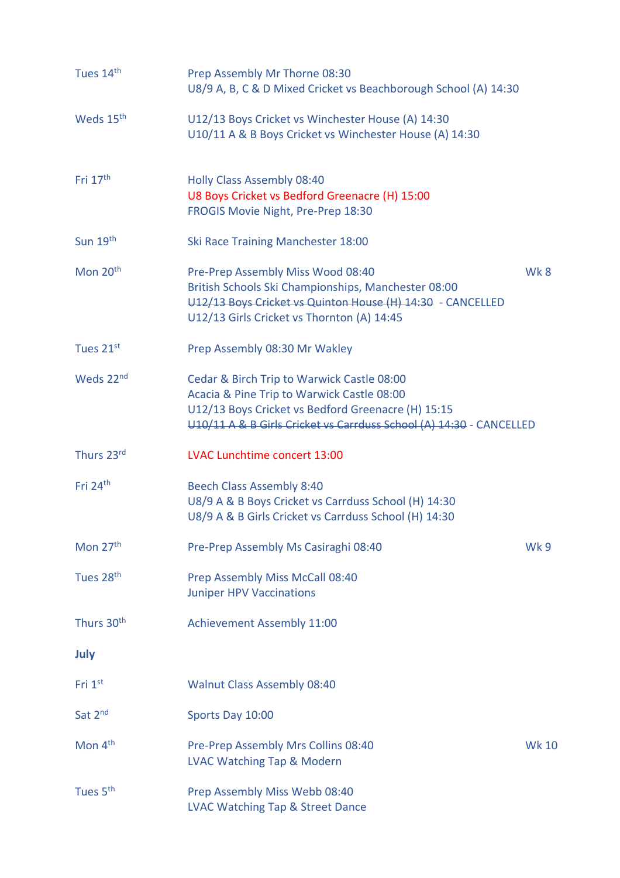| Tues 14th              | Prep Assembly Mr Thorne 08:30<br>U8/9 A, B, C & D Mixed Cricket vs Beachborough School (A) 14:30                                                                                                                      |              |
|------------------------|-----------------------------------------------------------------------------------------------------------------------------------------------------------------------------------------------------------------------|--------------|
| Weds 15 <sup>th</sup>  | U12/13 Boys Cricket vs Winchester House (A) 14:30<br>U10/11 A & B Boys Cricket vs Winchester House (A) 14:30                                                                                                          |              |
| Fri $17th$             | <b>Holly Class Assembly 08:40</b><br>U8 Boys Cricket vs Bedford Greenacre (H) 15:00<br>FROGIS Movie Night, Pre-Prep 18:30                                                                                             |              |
| Sun 19th               | Ski Race Training Manchester 18:00                                                                                                                                                                                    |              |
| Mon 20 <sup>th</sup>   | Pre-Prep Assembly Miss Wood 08:40<br>British Schools Ski Championships, Manchester 08:00<br>U12/13 Boys Cricket vs Quinton House (H) 14:30 - CANCELLED<br>U12/13 Girls Cricket vs Thornton (A) 14:45                  | Wk 8         |
| Tues 21st              | Prep Assembly 08:30 Mr Wakley                                                                                                                                                                                         |              |
| Weds 22 <sup>nd</sup>  | Cedar & Birch Trip to Warwick Castle 08:00<br>Acacia & Pine Trip to Warwick Castle 08:00<br>U12/13 Boys Cricket vs Bedford Greenacre (H) 15:15<br>U10/11 A & B Girls Cricket vs Carrduss School (A) 14:30 - CANCELLED |              |
| Thurs 23rd             | LVAC Lunchtime concert 13:00                                                                                                                                                                                          |              |
| Fri 24 <sup>th</sup>   | <b>Beech Class Assembly 8:40</b><br>U8/9 A & B Boys Cricket vs Carrduss School (H) 14:30<br>U8/9 A & B Girls Cricket vs Carrduss School (H) 14:30                                                                     |              |
| Mon 27 <sup>th</sup>   | Pre-Prep Assembly Ms Casiraghi 08:40                                                                                                                                                                                  | Wk 9         |
| Tues 28 <sup>th</sup>  | Prep Assembly Miss McCall 08:40<br><b>Juniper HPV Vaccinations</b>                                                                                                                                                    |              |
| Thurs 30 <sup>th</sup> | <b>Achievement Assembly 11:00</b>                                                                                                                                                                                     |              |
| July                   |                                                                                                                                                                                                                       |              |
| Fri 1 <sup>st</sup>    | <b>Walnut Class Assembly 08:40</b>                                                                                                                                                                                    |              |
| Sat 2nd                | Sports Day 10:00                                                                                                                                                                                                      |              |
| Mon 4 <sup>th</sup>    | Pre-Prep Assembly Mrs Collins 08:40<br><b>LVAC Watching Tap &amp; Modern</b>                                                                                                                                          | <b>Wk 10</b> |
| Tues 5 <sup>th</sup>   | Prep Assembly Miss Webb 08:40<br><b>LVAC Watching Tap &amp; Street Dance</b>                                                                                                                                          |              |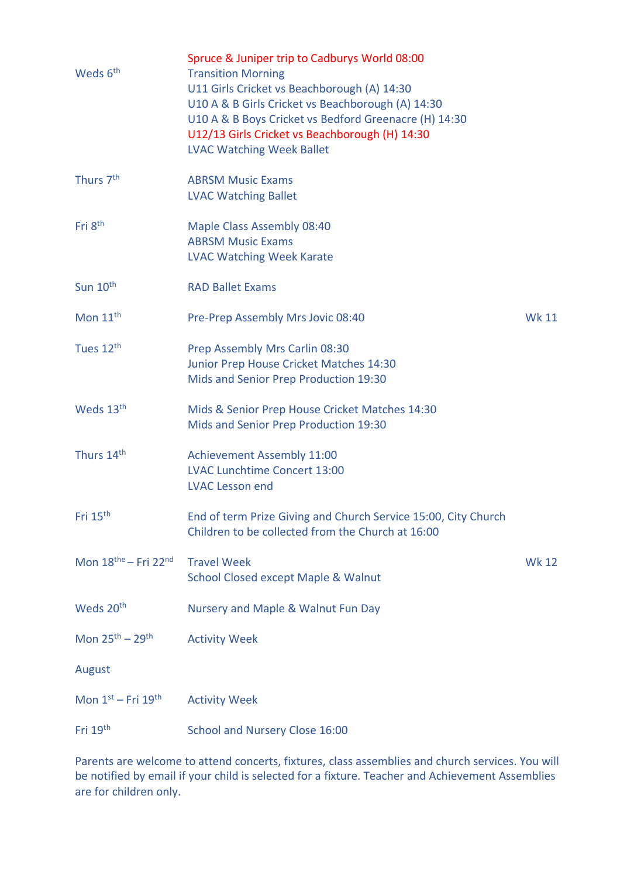| Weds 6 <sup>th</sup>                         | Spruce & Juniper trip to Cadburys World 08:00<br><b>Transition Morning</b><br>U11 Girls Cricket vs Beachborough (A) 14:30<br>U10 A & B Girls Cricket vs Beachborough (A) 14:30<br>U10 A & B Boys Cricket vs Bedford Greenacre (H) 14:30<br>U12/13 Girls Cricket vs Beachborough (H) 14:30<br><b>LVAC Watching Week Ballet</b> |              |
|----------------------------------------------|-------------------------------------------------------------------------------------------------------------------------------------------------------------------------------------------------------------------------------------------------------------------------------------------------------------------------------|--------------|
| Thurs 7 <sup>th</sup>                        | <b>ABRSM Music Exams</b><br><b>LVAC Watching Ballet</b>                                                                                                                                                                                                                                                                       |              |
| Fri 8 <sup>th</sup>                          | <b>Maple Class Assembly 08:40</b><br><b>ABRSM Music Exams</b><br><b>LVAC Watching Week Karate</b>                                                                                                                                                                                                                             |              |
| Sun 10 <sup>th</sup>                         | <b>RAD Ballet Exams</b>                                                                                                                                                                                                                                                                                                       |              |
| Mon $11th$                                   | Pre-Prep Assembly Mrs Jovic 08:40                                                                                                                                                                                                                                                                                             | <b>Wk 11</b> |
| Tues 12 <sup>th</sup>                        | Prep Assembly Mrs Carlin 08:30<br>Junior Prep House Cricket Matches 14:30<br>Mids and Senior Prep Production 19:30                                                                                                                                                                                                            |              |
| Weds 13 <sup>th</sup>                        | Mids & Senior Prep House Cricket Matches 14:30<br>Mids and Senior Prep Production 19:30                                                                                                                                                                                                                                       |              |
| Thurs 14th                                   | <b>Achievement Assembly 11:00</b><br><b>LVAC Lunchtime Concert 13:00</b><br><b>LVAC Lesson end</b>                                                                                                                                                                                                                            |              |
| Fri 15 <sup>th</sup>                         | End of term Prize Giving and Church Service 15:00, City Church<br>Children to be collected from the Church at 16:00                                                                                                                                                                                                           |              |
| Mon $18^{\text{the}}$ – Fri 22 <sup>nd</sup> | <b>Travel Week</b><br><b>School Closed except Maple &amp; Walnut</b>                                                                                                                                                                                                                                                          | <b>Wk 12</b> |
| Weds 20 <sup>th</sup>                        | Nursery and Maple & Walnut Fun Day                                                                                                                                                                                                                                                                                            |              |
| Mon $25^{th} - 29^{th}$                      | <b>Activity Week</b>                                                                                                                                                                                                                                                                                                          |              |
| August                                       |                                                                                                                                                                                                                                                                                                                               |              |
| Mon 1st - Fri 19th                           | <b>Activity Week</b>                                                                                                                                                                                                                                                                                                          |              |
| Fri 19th                                     | School and Nursery Close 16:00                                                                                                                                                                                                                                                                                                |              |

Parents are welcome to attend concerts, fixtures, class assemblies and church services. You will be notified by email if your child is selected for a fixture. Teacher and Achievement Assemblies are for children only.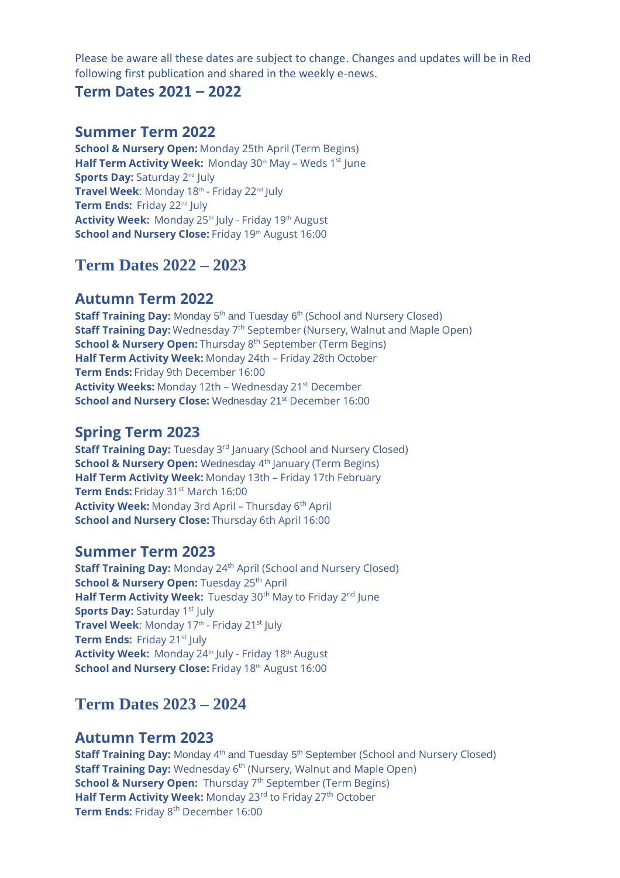Please be aware all these dates are subject to change. Changes and updates will be in Red following first publication and shared in the weekly e-news.

#### **Term Dates 2021 – 2022**

#### **Summer Term 2022**

**School & Nursery Open:** Monday 25th April (Term Begins) **Half Term Activity Week:** Monday 30<sup>st</sup> May - Weds 1<sup>st</sup> June **Sports Day: Saturday 2<sup>nd</sup> July Travel Week**: Monday 18th - Friday 22nd July **Term Ends: Friday 22<sup>nd</sup> July** Activity Week: Monday 25<sup>th</sup> July - Friday 19<sup>th</sup> August School and Nursery Close: Friday 19th August 16:00

# **Term Dates 2022 – 2023**

#### **Autumn Term 2022**

**Staff Training Day:** Monday 5<sup>th</sup> and Tuesday 6<sup>th</sup> (School and Nursery Closed) **Staff Training Day:** Wednesday 7<sup>th</sup> September (Nursery, Walnut and Maple Open) **School & Nursery Open:** Thursday 8<sup>th</sup> September (Term Begins) **Half Term Activity Week:** Monday 24th – Friday 28th October **Term Ends:** Friday 9th December 16:00 **Activity Weeks:** Monday 12th – Wednesday 21st December **School and Nursery Close:** Wednesday 21<sup>st</sup> December 16:00

### **Spring Term 2023**

**Staff Training Day:** Tuesday 3<sup>rd</sup> January (School and Nursery Closed) **School & Nursery Open:** Wednesday 4<sup>th</sup> January (Term Begins) **Half Term Activity Week:** Monday 13th – Friday 17th February **Term Ends: Friday 31st March 16:00 Activity Week:** Monday 3rd April - Thursday 6<sup>th</sup> April **School and Nursery Close:** Thursday 6th April 16:00

#### **Summer Term 2023**

**Staff Training Day:** Monday 24<sup>th</sup> April (School and Nursery Closed) **School & Nursery Open: Tuesday 25<sup>th</sup> April** Half Term Activity Week: Tuesday 30<sup>th</sup> May to Friday 2<sup>nd</sup> lune **Sports Day: Saturday 1st July** Travel Week: Monday 17<sup>th</sup> - Friday 21<sup>st</sup> July **Term Ends:** Friday 21<sup>st</sup> July **Activity Week:** Monday 24th July - Friday 18th August **School and Nursery Close:** Friday 18th August 16:00

# **Term Dates 2023 – 2024**

#### **Autumn Term 2023**

**Staff Training Day:** Monday 4<sup>th</sup> and Tuesday 5<sup>th</sup> September (School and Nursery Closed) **Staff Training Day:** Wednesday 6<sup>th</sup> (Nursery, Walnut and Maple Open) **School & Nursery Open:** Thursday 7<sup>th</sup> September (Term Begins) Half Term Activity Week: Monday 23<sup>rd</sup> to Friday 27<sup>th</sup> October **Term Ends:** Friday 8<sup>th</sup> December 16:00